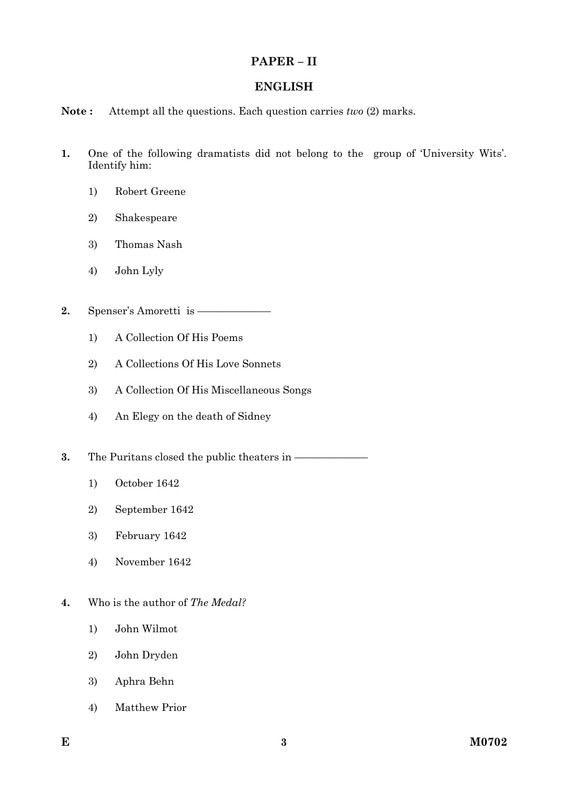### **PAPER – II**

### **ENGLISH**

#### **Note :** Attempt all the questions. Each question carries *two* (2) marks.

- **1.** One of the following dramatists did not belong to the group of 'University Wits'. Identify him:
	- 1) Robert Greene
	- 2) Shakespeare
	- 3) Thomas Nash
	- 4) John Lyly

**2.** Spenser's Amoretti is -

- 1) A Collection Of His Poems
- 2) A Collections Of His Love Sonnets
- 3) A Collection Of His Miscellaneous Songs
- 4) An Elegy on the death of Sidney

**3.** The Puritans closed the public theaters in ——

- 1) October 1642
- 2) September 1642
- 3) February 1642
- 4) November 1642
- **4.** Who is the author of *The Medal?*
	- 1) John Wilmot
	- 2) John Dryden
	- 3) Aphra Behn
	- 4) Matthew Prior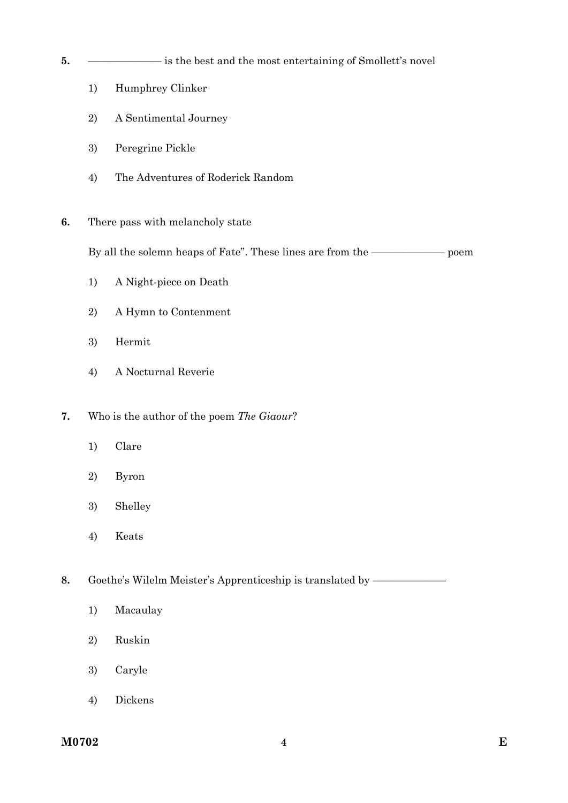- **5.** ——————— is the best and the most entertaining of Smollett's novel
	- 1) Humphrey Clinker
	- 2) A Sentimental Journey
	- 3) Peregrine Pickle
	- 4) The Adventures of Roderick Random
- **6.** There pass with melancholy state

By all the solemn heaps of Fate". These lines are from the ——————— poem

- 1) A Night-piece on Death
- 2) A Hymn to Contenment
- 3) Hermit
- 4) A Nocturnal Reverie
- **7.** Who is the author of the poem *The Giaour*?
	- 1) Clare
	- 2) Byron
	- 3) Shelley
	- 4) Keats

**8.** Goethe's Wilelm Meister's Apprenticeship is translated by ——

- 1) Macaulay
- 2) Ruskin
- 3) Caryle
- 4) Dickens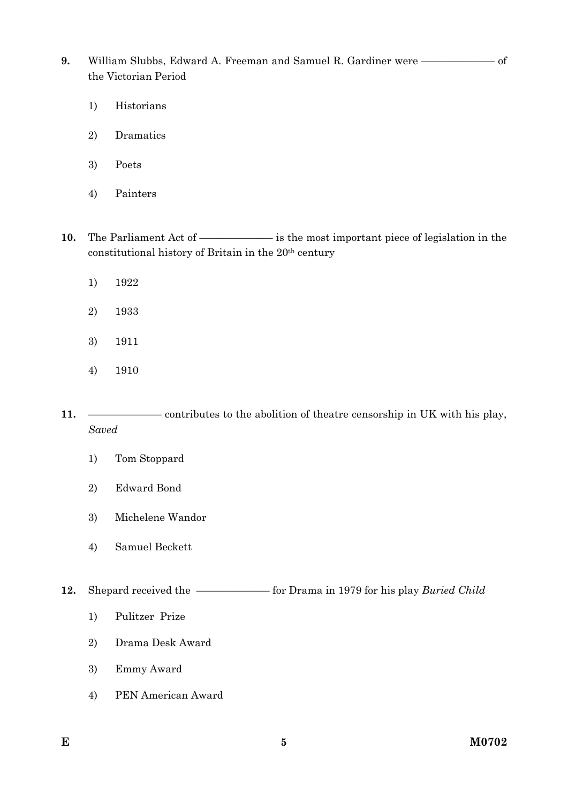**9.** William Slubbs, Edward A. Freeman and Samuel R. Gardiner were ——————— of the Victorian Period

- 1) Historians
- 2) Dramatics
- 3) Poets
- 4) Painters

10. The Parliament Act of —————— is the most important piece of legislation in the constitutional history of Britain in the 20th century

- 1) 1922
- 2) 1933
- 3) 1911
- 4) 1910
- **11.** ——————— contributes to the abolition of theatre censorship in UK with his play, *Saved* 
	- 1) Tom Stoppard
	- 2) Edward Bond
	- 3) Michelene Wandor
	- 4) Samuel Beckett

**12.** Shepard received the ———————— for Drama in 1979 for his play *Buried Child* 

- 1) Pulitzer Prize
- 2) Drama Desk Award
- 3) Emmy Award
- 4) PEN American Award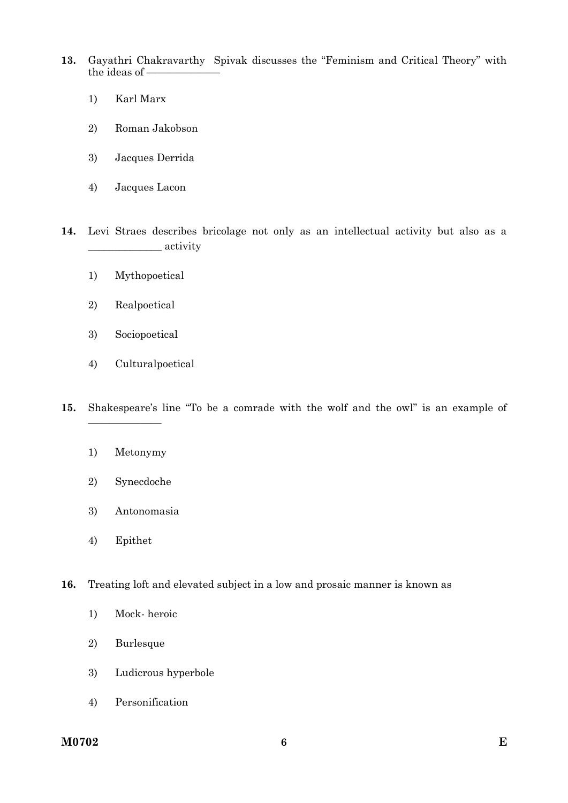- **13.** Gayathri Chakravarthy Spivak discusses the "Feminism and Critical Theory" with the ideas of
	- 1) Karl Marx
	- 2) Roman Jakobson
	- 3) Jacques Derrida
	- 4) Jacques Lacon

**14.** Levi Straes describes bricolage not only as an intellectual activity but also as a \_\_\_\_\_\_\_\_\_\_\_\_\_\_ activity

- 1) Mythopoetical
- 2) Realpoetical
- 3) Sociopoetical
- 4) Culturalpoetical
- **15.** Shakespeare's line "To be a comrade with the wolf and the owl" is an example of
	- 1) Metonymy

———————

- 2) Synecdoche
- 3) Antonomasia
- 4) Epithet
- **16.** Treating loft and elevated subject in a low and prosaic manner is known as
	- 1) Mock- heroic
	- 2) Burlesque
	- 3) Ludicrous hyperbole
	- 4) Personification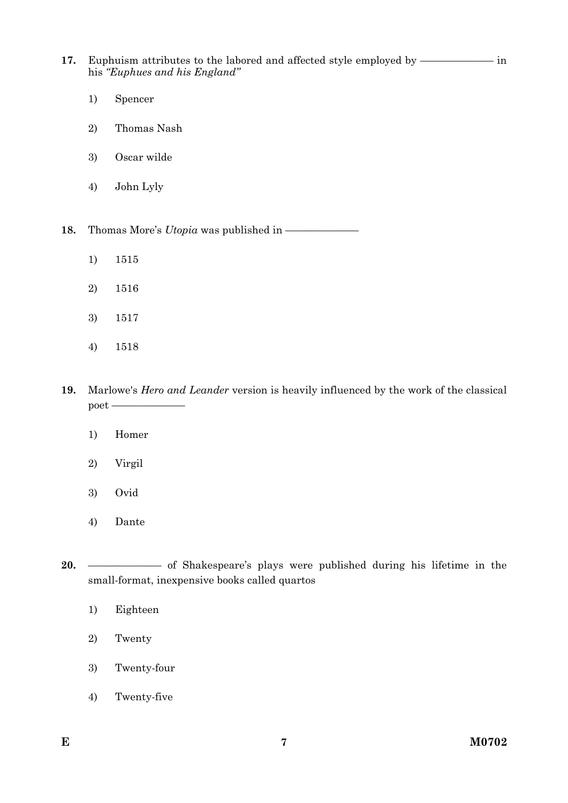**17.** Euphuism attributes to the labored and affected style employed by —————— in his *"Euphues and his England"* 

- 1) Spencer
- 2) Thomas Nash
- 3) Oscar wilde
- 4) John Lyly

**18.** Thomas More's *Utopia* was published in —————

- 1) 1515
- 2) 1516
- 3) 1517
- 4) 1518

**19.** Marlowe's *Hero and Leander* version is heavily influenced by the work of the classical poet ————

- 1) Homer
- 2) Virgil
- 3) Ovid
- 4) Dante

20. ———————————— of Shakespeare's plays were published during his lifetime in the small-format, inexpensive books called quartos

- 1) Eighteen
- 2) Twenty
- 3) Twenty-four
- 4) Twenty-five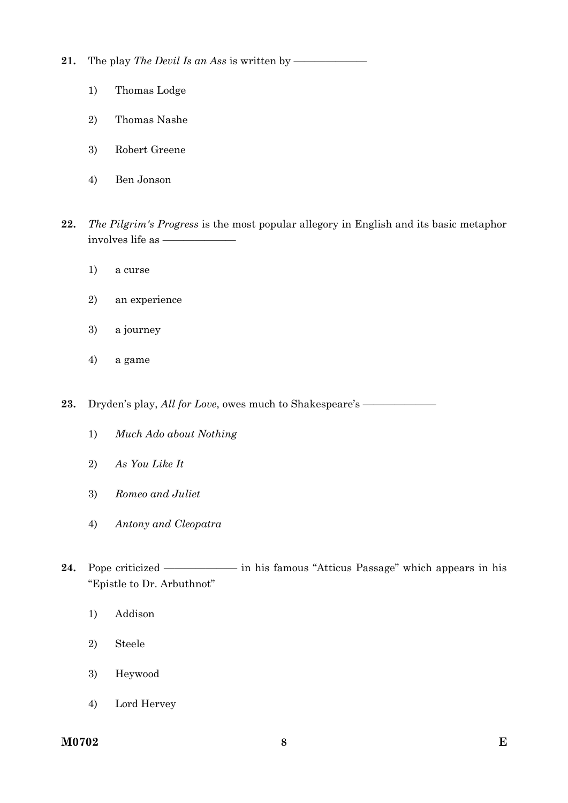**21.** The play *The Devil Is an Ass* is written by —

- 1) Thomas Lodge
- 2) Thomas Nashe
- 3) Robert Greene
- 4) Ben Jonson
- **22.** *The Pilgrim's Progress* is the most popular allegory in English and its basic metaphor involves life as ———————
	- 1) a curse
	- 2) an experience
	- 3) a journey
	- 4) a game

23. Dryden's play, *All for Love*, owes much to Shakespeare's ——

- 1) *Much Ado about Nothing*
- 2) *As You Like It*
- 3) *Romeo and Juliet*
- 4) *Antony and Cleopatra*
- **24.** Pope criticized ——————— in his famous "Atticus Passage" which appears in his "Epistle to Dr. Arbuthnot"
	- 1) Addison
	- 2) Steele
	- 3) Heywood
	- 4) Lord Hervey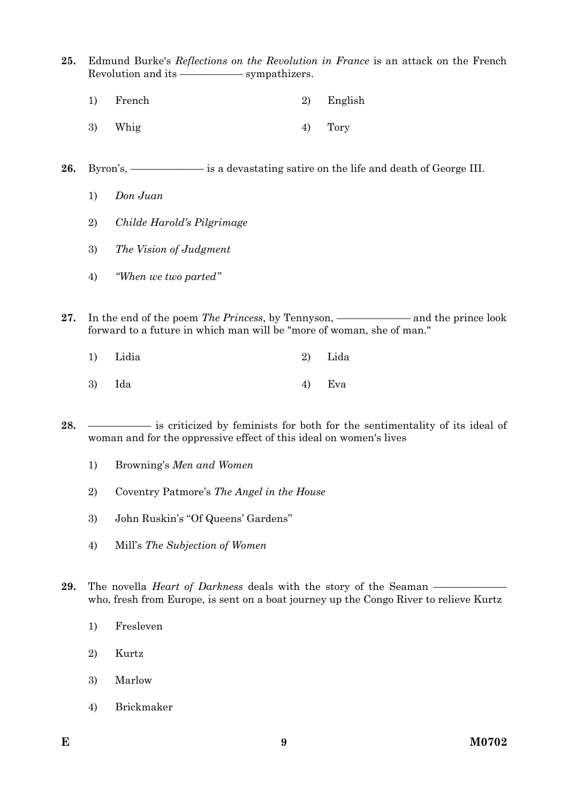- **25.** Edmund Burke's *Reflections on the Revolution in France* is an attack on the French Revolution and its ——————— sympathizers.
	- 1) French 2) English
	- $3)$  Whig  $4)$  Tory
- 26. Byron's, —————————— is a devastating satire on the life and death of George III.
	- 1) *Don Juan*
	- 2) *Childe Harold's Pilgrimage*
	- 3) *The Vision of Judgment*
	- 4) *"When we two parted"*
- 27. In the end of the poem *The Princess*, by Tennyson, ——————— and the prince look forward to a future in which man will be "more of woman, she of man."
	- 1) Lidia 2) Lida
	- 3) Ida 4) Eva
- **28.** —————— is criticized by feminists for both for the sentimentality of its ideal of woman and for the oppressive effect of this ideal on women's lives
	- 1) Browning's *Men and Women*
	- 2) Coventry Patmore's *The Angel in the House*
	- 3) John Ruskin's ''Of Queens' Gardens''
	- 4) Mill's *The Subjection of Women*
- **29.** The novella *Heart of Darkness* deals with the story of the Seaman who, fresh from Europe, is sent on a boat journey up the Congo River to relieve Kurtz
	- 1) Fresleven
	- 2) Kurtz
	- 3) Marlow
	- 4) Brickmaker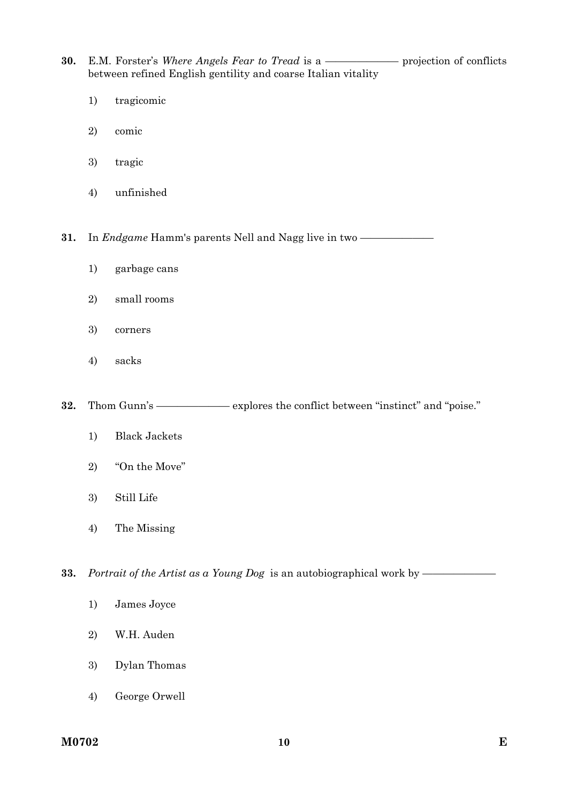**30.** E.M. Forster's *Where Angels Fear to Tread* is a —————— projection of conflicts between refined English gentility and coarse Italian vitality

- 1) tragicomic
- 2) comic
- 3) tragic
- 4) unfinished

**31.** In *Endgame* Hamm's parents Nell and Nagg live in two —

- 1) garbage cans
- 2) small rooms
- 3) corners
- 4) sacks
- **32.** Thom Gunn's —————— explores the conflict between "instinct" and "poise."
	- 1) Black Jackets
	- 2) "On the Move"
	- 3) Still Life
	- 4) The Missing

**33.** Portrait of the Artist as a Young Dog is an autobiographical work by ————

- 1) James Joyce
- 2) W.H. Auden
- 3) Dylan Thomas
- 4) George Orwell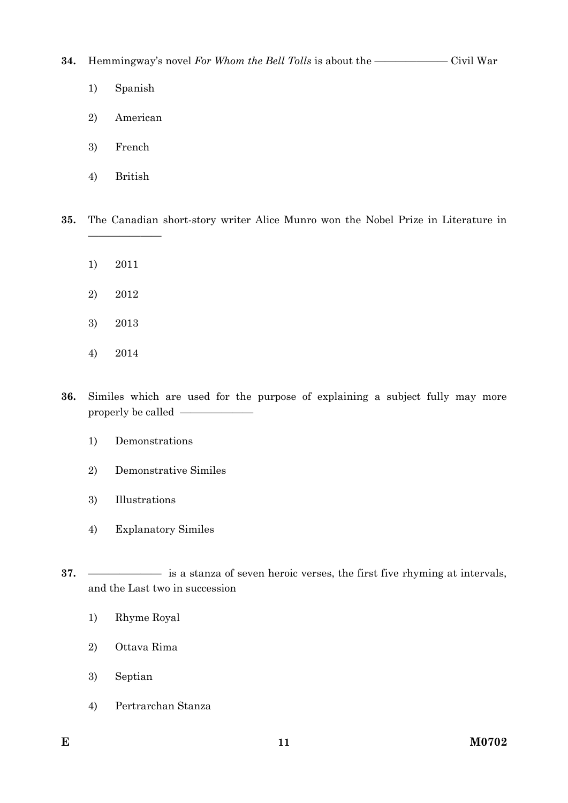**34.** Hemmingway's novel *For Whom the Bell Tolls* is about the ———————— Civil War

- 1) Spanish
- 2) American
- 3) French
- 4) British

**35.** The Canadian short-story writer Alice Munro won the Nobel Prize in Literature in

1) 2011

———————

- 2) 2012
- 3) 2013
- 4) 2014
- **36.** Similes which are used for the purpose of explaining a subject fully may more properly be called ———————
	- 1) Demonstrations
	- 2) Demonstrative Similes
	- 3) Illustrations
	- 4) Explanatory Similes
- **37.** ——————— is a stanza of seven heroic verses, the first five rhyming at intervals, and the Last two in succession
	- 1) Rhyme Royal
	- 2) Ottava Rima
	- 3) Septian
	- 4) Pertrarchan Stanza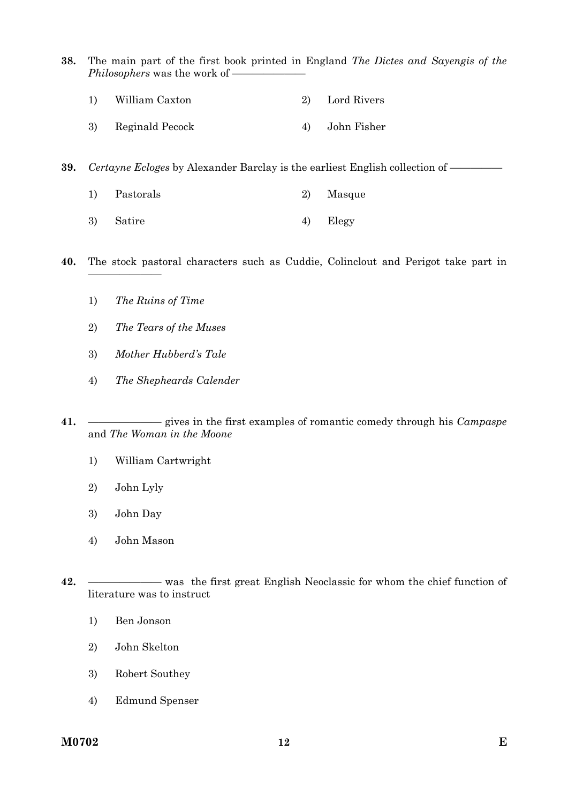- **38.** The main part of the first book printed in England *The Dictes and Sayengis of the Philosophers* was the work of -
	- 1) William Caxton 2) Lord Rivers
	- 3) Reginald Pecock 4) John Fisher

**39.** *Certayne Ecloges* by Alexander Barclay is the earliest English collection of —————

- 1) Pastorals 2) Masque
- 3) Satire 4) Elegy
- **40.** The stock pastoral characters such as Cuddie, Colinclout and Perigot take part in
	- 1) *The Ruins of Time*

———————

- 2) *The Tears of the Muses*
- 3) *Mother Hubberd's Tale*
- 4) *The Shepheards Calender*
- **41.** ——————— gives in the first examples of romantic comedy through his *Campaspe* and *The Woman in the Moone* 
	- 1) William Cartwright
	- 2) John Lyly
	- 3) John Day
	- 4) John Mason
- **42.** ——————— was the first great English Neoclassic for whom the chief function of literature was to instruct
	- 1) Ben Jonson
	- 2) John Skelton
	- 3) Robert Southey
	- 4) Edmund Spenser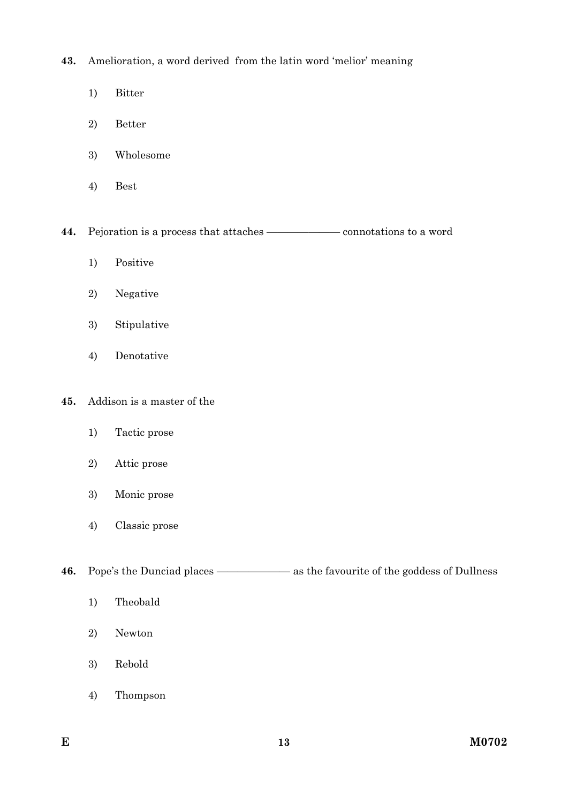**43.** Amelioration, a word derived from the latin word 'melior' meaning

- 1) Bitter
- 2) Better
- 3) Wholesome
- 4) Best

44. Pejoration is a process that attaches ——————— connotations to a word

- 1) Positive
- 2) Negative
- 3) Stipulative
- 4) Denotative
- **45.** Addison is a master of the
	- 1) Tactic prose
	- 2) Attic prose
	- 3) Monic prose
	- 4) Classic prose

**46.** Pope's the Dunciad places ————————— as the favourite of the goddess of Dullness

- 1) Theobald
- 2) Newton
- 3) Rebold
- 4) Thompson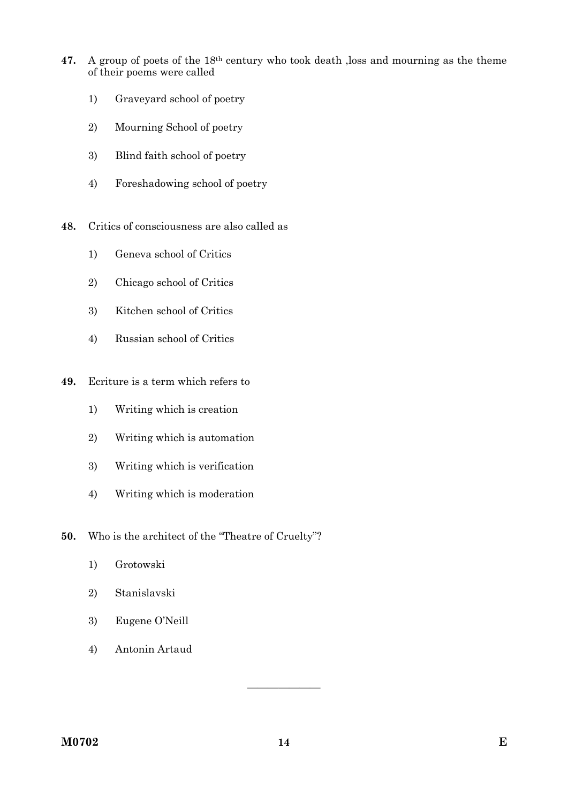- **47.** A group of poets of the 18th century who took death ,loss and mourning as the theme of their poems were called
	- 1) Graveyard school of poetry
	- 2) Mourning School of poetry
	- 3) Blind faith school of poetry
	- 4) Foreshadowing school of poetry
- **48.** Critics of consciousness are also called as
	- 1) Geneva school of Critics
	- 2) Chicago school of Critics
	- 3) Kitchen school of Critics
	- 4) Russian school of Critics
- **49.** Ecriture is a term which refers to
	- 1) Writing which is creation
	- 2) Writing which is automation
	- 3) Writing which is verification
	- 4) Writing which is moderation
- **50.** Who is the architect of the "Theatre of Cruelty"?
	- 1) Grotowski
	- 2) Stanislavski
	- 3) Eugene O'Neill
	- 4) Antonin Artaud

———————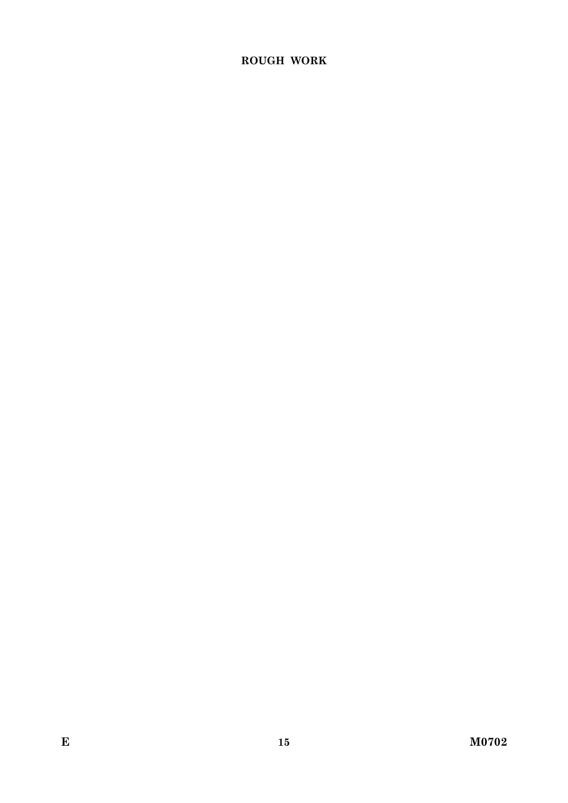# **ROUGH WORK**